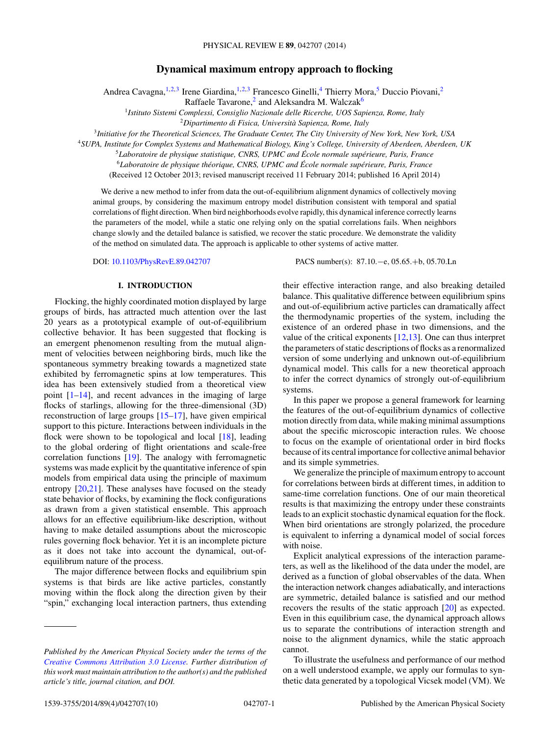# **Dynamical maximum entropy approach to flocking**

Andrea Cavagna,<sup>1,2,3</sup> Irene Giardina,<sup>1,2,3</sup> Francesco Ginelli,<sup>4</sup> Thierry Mora,<sup>5</sup> Duccio Piovani,<sup>2</sup>

Raffaele Tavarone, $^2$  and Aleksandra M. Walczak<sup>6</sup>

<sup>1</sup>*Istituto Sistemi Complessi, Consiglio Nazionale delle Ricerche, UOS Sapienza, Rome, Italy*

<sup>2</sup>*Dipartimento di Fisica, Universita Sapienza, Rome, Italy `*

<sup>3</sup>*Initiative for the Theoretical Sciences, The Graduate Center, The City University of New York, New York, USA*

<sup>4</sup>*SUPA, Institute for Complex Systems and Mathematical Biology, King's College, University of Aberdeen, Aberdeen, UK*

<sup>5</sup>Laboratoire de physique statistique, CNRS, UPMC and École normale supérieure, Paris, France

<sup>6</sup>*Laboratoire de physique theorique, CNRS, UPMC and ´ Ecole normale sup ´ erieure, Paris, France ´*

(Received 12 October 2013; revised manuscript received 11 February 2014; published 16 April 2014)

We derive a new method to infer from data the out-of-equilibrium alignment dynamics of collectively moving animal groups, by considering the maximum entropy model distribution consistent with temporal and spatial correlations of flight direction. When bird neighborhoods evolve rapidly, this dynamical inference correctly learns the parameters of the model, while a static one relying only on the spatial correlations fails. When neighbors change slowly and the detailed balance is satisfied, we recover the static procedure. We demonstrate the validity of the method on simulated data. The approach is applicable to other systems of active matter.

DOI: [10.1103/PhysRevE.89.042707](http://dx.doi.org/10.1103/PhysRevE.89.042707) PACS number(s): 87*.*10*.*−e*,* 05*.*65*.*+b*,* 05*.*70*.*Ln

### **I. INTRODUCTION**

Flocking, the highly coordinated motion displayed by large groups of birds, has attracted much attention over the last 20 years as a prototypical example of out-of-equilibrium collective behavior. It has been suggested that flocking is an emergent phenomenon resulting from the mutual alignment of velocities between neighboring birds, much like the spontaneous symmetry breaking towards a magnetized state exhibited by ferromagnetic spins at low temperatures. This idea has been extensively studied from a theoretical view point [\[1–14\]](#page-8-0), and recent advances in the imaging of large flocks of starlings, allowing for the three-dimensional (3D) reconstruction of large groups [\[15–17\]](#page-8-0), have given empirical support to this picture. Interactions between individuals in the flock were shown to be topological and local [\[18\]](#page-8-0), leading to the global ordering of flight orientations and scale-free correlation functions [\[19\]](#page-8-0). The analogy with ferromagnetic systems was made explicit by the quantitative inference of spin models from empirical data using the principle of maximum entropy [\[20,21\]](#page-8-0). These analyses have focused on the steady state behavior of flocks, by examining the flock configurations as drawn from a given statistical ensemble. This approach allows for an effective equilibrium-like description, without having to make detailed assumptions about the microscopic rules governing flock behavior. Yet it is an incomplete picture as it does not take into account the dynamical, out-ofequilibrum nature of the process.

The major difference between flocks and equilibrium spin systems is that birds are like active particles, constantly moving within the flock along the direction given by their "spin," exchanging local interaction partners, thus extending

their effective interaction range, and also breaking detailed balance. This qualitative difference between equilibrium spins and out-of-equilibrium active particles can dramatically affect the thermodynamic properties of the system, including the existence of an ordered phase in two dimensions, and the value of the critical exponents [\[12,13\]](#page-8-0). One can thus interpret the parameters of static descriptions of flocks as a renormalized version of some underlying and unknown out-of-equilibrium dynamical model. This calls for a new theoretical approach to infer the correct dynamics of strongly out-of-equilibrium systems.

In this paper we propose a general framework for learning the features of the out-of-equilibrium dynamics of collective motion directly from data, while making minimal assumptions about the specific microscopic interaction rules. We choose to focus on the example of orientational order in bird flocks because of its central importance for collective animal behavior and its simple symmetries.

We generalize the principle of maximum entropy to account for correlations between birds at different times, in addition to same-time correlation functions. One of our main theoretical results is that maximizing the entropy under these constraints leads to an explicit stochastic dynamical equation for the flock. When bird orientations are strongly polarized, the procedure is equivalent to inferring a dynamical model of social forces with noise.

Explicit analytical expressions of the interaction parameters, as well as the likelihood of the data under the model, are derived as a function of global observables of the data. When the interaction network changes adiabatically, and interactions are symmetric, detailed balance is satisfied and our method recovers the results of the static approach [\[20\]](#page-8-0) as expected. Even in this equilibrium case, the dynamical approach allows us to separate the contributions of interaction strength and noise to the alignment dynamics, while the static approach cannot.

To illustrate the usefulness and performance of our method on a well understood example, we apply our formulas to synthetic data generated by a topological Vicsek model (VM). We

*Published by the American Physical Society under the terms of the [Creative Commons Attribution 3.0 License.](http://creativecommons.org/licenses/by/3.0/) Further distribution of this work must maintain attribution to the author(s) and the published article's title, journal citation, and DOI.*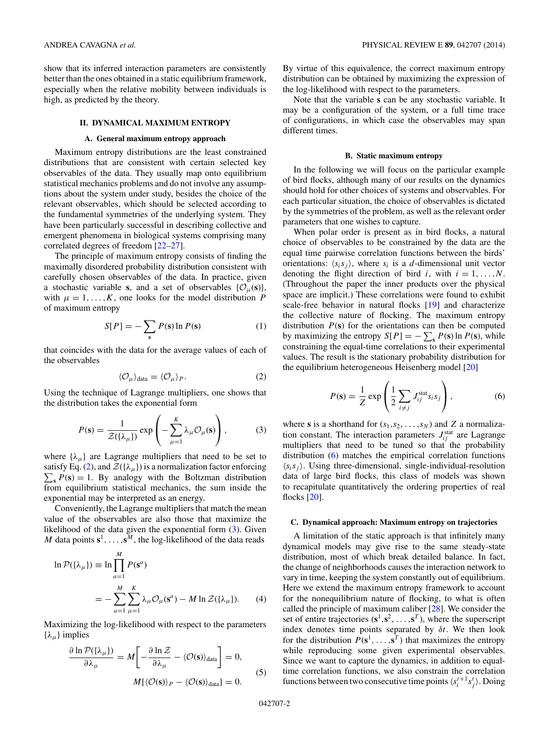<span id="page-1-0"></span>show that its inferred interaction parameters are consistently better than the ones obtained in a static equilibrium framework, especially when the relative mobility between individuals is high, as predicted by the theory.

## **II. DYNAMICAL MAXIMUM ENTROPY**

#### **A. General maximum entropy approach**

Maximum entropy distributions are the least constrained distributions that are consistent with certain selected key observables of the data. They usually map onto equilibrium statistical mechanics problems and do not involve any assumptions about the system under study, besides the choice of the relevant observables, which should be selected according to the fundamental symmetries of the underlying system. They have been particularly successful in describing collective and emergent phenomena in biological systems comprising many correlated degrees of freedom [\[22–27\]](#page-8-0).

The principle of maximum entropy consists of finding the maximally disordered probability distribution consistent with carefully chosen observables of the data. In practice, given a stochastic variable **s**, and a set of observables  $\{\mathcal{O}_{\mu}(\mathbf{s})\}$ , with  $\mu = 1, \ldots, K$ , one looks for the model distribution *P* of maximum entropy

$$
S[P] = -\sum_{s} P(s) \ln P(s) \tag{1}
$$

that coincides with the data for the average values of each of the observables

$$
\langle \mathcal{O}_{\mu} \rangle_{\text{data}} = \langle \mathcal{O}_{\mu} \rangle_{P}. \tag{2}
$$

Using the technique of Lagrange multipliers, one shows that the distribution takes the exponential form

$$
P(\mathbf{s}) = \frac{1}{\mathcal{Z}(\{\lambda_{\mu}\})} \exp\left(-\sum_{\mu=1}^{K} \lambda_{\mu} \mathcal{O}_{\mu}(\mathbf{s})\right), \tag{3}
$$

where  $\{\lambda_{\mu}\}\$ are Lagrange multipliers that need to be set to satisfy Eq. (2), and  $\mathcal{Z}(\{\lambda_{\mu}\})$  is a normalization factor enforcing  $\sum_{s} P(s) = 1$ . By analogy with the Boltzman distribution from equilibrium statistical mechanics, the sum inside the exponential may be interpreted as an energy.

Conveniently, the Lagrange multipliers that match the mean value of the observables are also those that maximize the likelihood of the data given the exponential form (3). Given *M* data points  $s^1, \ldots, s^M$ , the log-likelihood of the data reads

$$
\ln \mathcal{P}(\{\lambda_{\mu}\}) \equiv \ln \prod_{a=1}^{M} P(\mathbf{s}^{a})
$$
  
= 
$$
- \sum_{a=1}^{M} \sum_{\mu=1}^{K} \lambda_{\mu} \mathcal{O}_{\mu}(\mathbf{s}^{a}) - M \ln \mathcal{Z}(\{\lambda_{\mu}\}). \tag{4}
$$

Maximizing the log-likelihood with respect to the parameters  $\{\lambda_{\mu}\}\$ implies

$$
\frac{\partial \ln \mathcal{P}(\{\lambda_{\mu}\})}{\partial \lambda_{\mu}} = M \left[ -\frac{\partial \ln \mathcal{Z}}{\partial \lambda_{\mu}} - \langle \mathcal{O}(\mathbf{s}) \rangle_{\text{data}} \right] = 0,
$$
  

$$
M \{ \langle \mathcal{O}(\mathbf{s}) \rangle_P - \langle \mathcal{O}(\mathbf{s}) \rangle_{\text{data}} \} = 0.
$$
 (5)

By virtue of this equivalence, the correct maximum entropy distribution can be obtained by maximizing the expression of the log-likelihood with respect to the parameters.

Note that the variable **s** can be any stochastic variable. It may be a configuration of the system, or a full time trace of configurations, in which case the observables may span different times.

#### **B. Static maximum entropy**

In the following we will focus on the particular example of bird flocks, although many of our results on the dynamics should hold for other choices of systems and observables. For each particular situation, the choice of observables is dictated by the symmetries of the problem, as well as the relevant order parameters that one wishes to capture.

When polar order is present as in bird flocks, a natural choice of observables to be constrained by the data are the equal time pairwise correlation functions between the birds' orientations:  $\langle s_i s_j \rangle$ , where  $s_i$  is a *d*-dimensional unit vector denoting the flight direction of bird *i*, with  $i = 1, \ldots, N$ . (Throughout the paper the inner products over the physical space are implicit.) These correlations were found to exhibit scale-free behavior in natural flocks [\[19\]](#page-8-0) and characterize the collective nature of flocking. The maximum entropy distribution  $P(s)$  for the orientations can then be computed by maximizing the entropy  $S[P] = -\sum_{s} P(s) \ln P(s)$ , while constraining the equal-time correlations to their experimental values. The result is the stationary probability distribution for the equilibrium heterogeneous Heisenberg model [\[20\]](#page-8-0)

$$
P(\mathbf{s}) = \frac{1}{Z} \exp\left(\frac{1}{2} \sum_{i \neq j} J_{ij}^{\text{stat}} s_i s_j\right),\tag{6}
$$

where **s** is a shorthand for  $(s_1, s_2, \ldots, s_N)$  and *Z* a normalization constant. The interaction parameters  $J_{ij}^{\text{stat}}$  are Lagrange multipliers that need to be tuned so that the probability distribution (6) matches the empirical correlation functions  $\langle s_i s_j \rangle$ . Using three-dimensional, single-individual-resolution data of large bird flocks, this class of models was shown to recapitulate quantitatively the ordering properties of real flocks [\[20\]](#page-8-0).

#### **C. Dynamical approach: Maximum entropy on trajectories**

A limitation of the static approach is that infinitely many dynamical models may give rise to the same steady-state distribution, most of which break detailed balance. In fact, the change of neighborhoods causes the interaction network to vary in time, keeping the system constantly out of equilibrium. Here we extend the maximum entropy framework to account for the nonequilibrium nature of flocking, to what is often called the principle of maximum caliber [\[28\]](#page-8-0). We consider the set of entire trajectories  $(s^1, s^2, \ldots, s^T)$ , where the superscript index denotes time points separated by *δt*. We then look for the distribution  $P(s^1, \ldots, s^T)$  that maximizes the entropy while reproducing some given experimental observables. Since we want to capture the dynamics, in addition to equaltime correlation functions, we also constrain the correlation functions between two consecutive time points  $\langle s_i^{t+1} s_j^t \rangle$ . Doing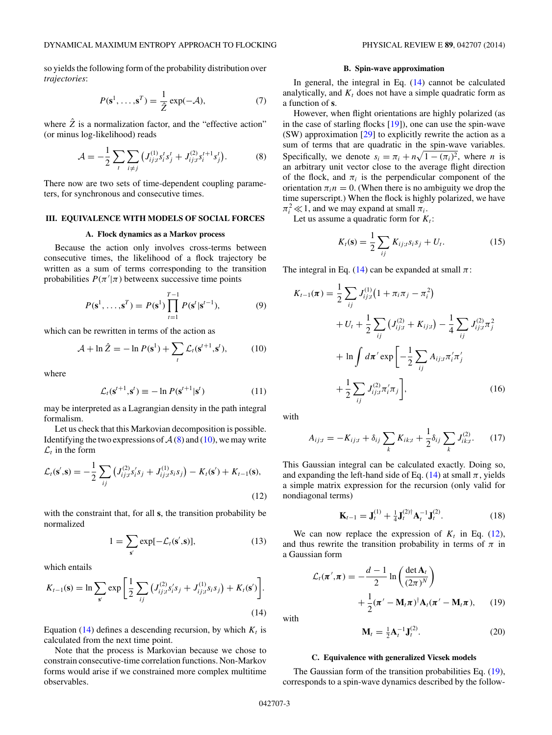<span id="page-2-0"></span>so yields the following form of the probability distribution over *trajectories*:

$$
P(\mathbf{s}^1, \dots, \mathbf{s}^T) = \frac{1}{2} \exp(-\mathcal{A}),\tag{7}
$$

where  $\hat{Z}$  is a normalization factor, and the "effective action" (or minus log-likelihood) reads

$$
\mathcal{A} = -\frac{1}{2} \sum_{t} \sum_{i \neq j} \left( J_{ij;t}^{(1)} s_i^t s_j^t + J_{ij;t}^{(2)} s_i^{t+1} s_j^t \right). \tag{8}
$$

There now are two sets of time-dependent coupling parameters, for synchronous and consecutive times.

## **III. EQUIVALENCE WITH MODELS OF SOCIAL FORCES**

#### **A. Flock dynamics as a Markov process**

Because the action only involves cross-terms between consecutive times, the likelihood of a flock trajectory be written as a sum of terms corresponding to the transition probabilities  $P(\pi'|\pi)$  betweenx successive time points

$$
P(\mathbf{s}^1, \dots, \mathbf{s}^T) = P(\mathbf{s}^1) \prod_{t=1}^{T-1} P(\mathbf{s}^t | \mathbf{s}^{t-1}),
$$
 (9)

which can be rewritten in terms of the action as

$$
\mathcal{A} + \ln \hat{Z} = -\ln P(\mathbf{s}^1) + \sum_{t} \mathcal{L}_t(\mathbf{s}^{t+1}, \mathbf{s}^t), \tag{10}
$$

where

$$
\mathcal{L}_t(\mathbf{s}^{t+1}, \mathbf{s}^t) \equiv -\ln P(\mathbf{s}^{t+1}|\mathbf{s}^t)
$$
\n(11)

may be interpreted as a Lagrangian density in the path integral formalism.

Let us check that this Markovian decomposition is possible. Identifying the two expressions of  $A(8)$  and (10), we may write  $\mathcal{L}_t$  in the form

$$
\mathcal{L}_t(\mathbf{s}',\mathbf{s}) = -\frac{1}{2} \sum_{ij} \left( J_{ij;t}^{(2)} s'_i s_j + J_{ij;t}^{(1)} s_i s_j \right) - K_t(\mathbf{s}') + K_{t-1}(\mathbf{s}),
$$
\n(12)

with the constraint that, for all **s**, the transition probability be normalized

$$
1 = \sum_{s'} \exp[-\mathcal{L}_t(s', s)],\tag{13}
$$

which entails

$$
K_{t-1}(\mathbf{s}) = \ln \sum_{\mathbf{s}'} \exp \left[ \frac{1}{2} \sum_{ij} \left( J_{ij;t}^{(2)} s'_i s_j + J_{ij;t}^{(1)} s_i s_j \right) + K_t(\mathbf{s}') \right].
$$
\n(14)

Equation  $(14)$  defines a descending recursion, by which  $K_t$  is calculated from the next time point.

Note that the process is Markovian because we chose to constrain consecutive-time correlation functions. Non-Markov forms would arise if we constrained more complex multitime observables.

### **B. Spin-wave approximation**

In general, the integral in Eq. (14) cannot be calculated analytically, and  $K_t$  does not have a simple quadratic form as a function of **s**.

However, when flight orientations are highly polarized (as in the case of starling flocks [\[19\]](#page-8-0)), one can use the spin-wave (SW) approximation [\[29\]](#page-8-0) to explicitly rewrite the action as a sum of terms that are quadratic in the spin-wave variables. Specifically, we denote  $s_i = \pi_i + n\sqrt{1 - (\pi_i)^2}$ , where *n* is an arbitrary unit vector close to the average flight direction of the flock, and  $\pi_i$  is the perpendicular component of the orientation  $\pi_i$  = 0. (When there is no ambiguity we drop the time superscript.) When the flock is highly polarized, we have  $\pi_i^2 \ll 1$ , and we may expand at small  $\pi_i$ .

Let us assume a quadratic form for  $K_t$ :

$$
K_t(\mathbf{s}) = \frac{1}{2} \sum_{ij} K_{ij;t} s_i s_j + U_t.
$$
 (15)

The integral in Eq. (14) can be expanded at small  $\pi$ :

$$
K_{t-1}(\pi) = \frac{1}{2} \sum_{ij} J_{ij;t}^{(1)} (1 + \pi_i \pi_j - \pi_i^2)
$$
  
+  $U_t + \frac{1}{2} \sum_{ij} (J_{ij;t}^{(2)} + K_{ij;t}) - \frac{1}{4} \sum_{ij} J_{ij;t}^{(2)} \pi_j^2$   
+  $\ln \int d\pi' \exp \left[ -\frac{1}{2} \sum_{ij} A_{ij;t} \pi'_i \pi'_j \right]$   
+  $\frac{1}{2} \sum_{ij} J_{ij;t}^{(2)} \pi'_i \pi_j \right],$  (16)

with

$$
A_{ij;t} = -K_{ij;t} + \delta_{ij} \sum_{k} K_{ik;t} + \frac{1}{2} \delta_{ij} \sum_{k} J_{ik;t}^{(2)}.
$$
 (17)

This Gaussian integral can be calculated exactly. Doing so, and expanding the left-hand side of Eq.  $(14)$  at small  $\pi$ , yields a simple matrix expression for the recursion (only valid for nondiagonal terms)

$$
\mathbf{K}_{t-1} = \mathbf{J}_t^{(1)} + \frac{1}{4} \mathbf{J}_t^{(2)\dagger} \mathbf{A}_t^{-1} \mathbf{J}_t^{(2)}.
$$
 (18)

We can now replace the expression of  $K_t$  in Eq. (12), and thus rewrite the transition probability in terms of  $\pi$  in a Gaussian form

$$
\mathcal{L}_t(\pi', \pi) = -\frac{d-1}{2} \ln \left( \frac{\det \mathbf{A}_t}{(2\pi)^N} \right)
$$

$$
+ \frac{1}{2} (\pi' - \mathbf{M}_t \pi)^{\dagger} \mathbf{A}_t (\pi' - \mathbf{M}_t \pi), \qquad (19)
$$

with

$$
\mathbf{M}_t = \frac{1}{2} \mathbf{A}_t^{-1} \mathbf{J}_t^{(2)}.
$$
 (20)

#### **C. Equivalence with generalized Vicsek models**

The Gaussian form of the transition probabilities Eq. (19), corresponds to a spin-wave dynamics described by the follow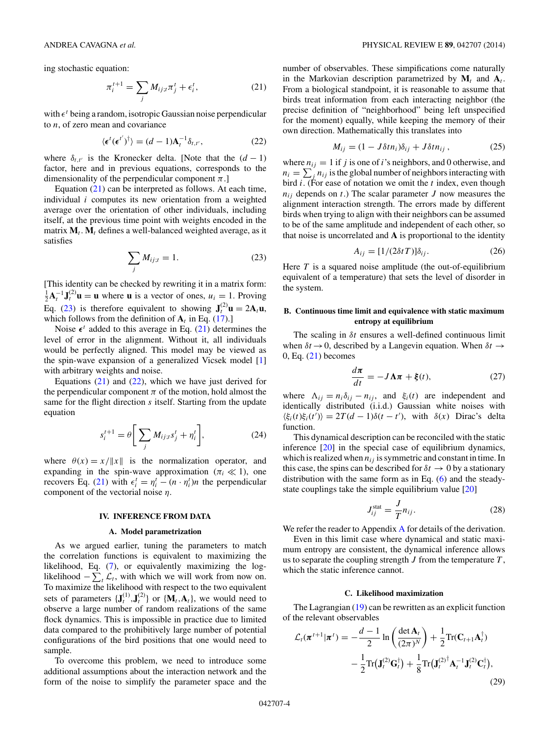<span id="page-3-0"></span>ing stochastic equation:

$$
\pi_i^{t+1} = \sum_j M_{ij;t} \pi_j^t + \epsilon_i^t, \qquad (21)
$$

with  $\epsilon^t$  being a random, isotropic Gaussian noise perpendicular to *n*, of zero mean and covariance

$$
\langle \epsilon^t (\epsilon^{t'})^{\dagger} \rangle = (d-1) \mathbf{A}_t^{-1} \delta_{t,t'}, \tag{22}
$$

where  $\delta_{t,t'}$  is the Kronecker delta. [Note that the  $(d-1)$ factor, here and in previous equations, corresponds to the dimensionality of the perpendicular component  $\pi$ .]

Equation (21) can be interpreted as follows. At each time, individual *i* computes its new orientation from a weighted average over the orientation of other individuals, including itself, at the previous time point with weights encoded in the matrix  $M_t$ .  $M_t$  defines a well-balanced weighted average, as it satisfies

$$
\sum_{j} M_{ij;t} = 1. \tag{23}
$$

[This identity can be checked by rewriting it in a matrix form:  $\frac{1}{2}\mathbf{A}_t^{-1}\mathbf{J}_t^{(2)}\mathbf{u} = \mathbf{u}$  where **u** is a vector of ones,  $u_i = 1$ . Proving Eq. (23) is therefore equivalent to showing  $J_t^{(2)}\mathbf{u} = 2\mathbf{A}_t\mathbf{u}$ , which follows from the definition of  $A_t$  in Eq. [\(17\)](#page-2-0).]

Noise  $\epsilon^t$  added to this average in Eq. (21) determines the level of error in the alignment. Without it, all individuals would be perfectly aligned. This model may be viewed as the spin-wave expansion of a generalized Vicsek model [\[1\]](#page-8-0) with arbitrary weights and noise.

Equations  $(21)$  and  $(22)$ , which we have just derived for the perpendicular component  $\pi$  of the motion, hold almost the same for the flight direction *s* itself. Starting from the update equation

$$
s_i^{t+1} = \theta \bigg[ \sum_j M_{ij;t} s_j^t + \eta_i^t \bigg], \tag{24}
$$

where  $\theta(x) = x / \|x\|$  is the normalization operator, and expanding in the spin-wave approximation  $(\pi_i \ll 1)$ , one recovers Eq. (21) with  $\epsilon_i^t = \eta_i^t - (n \cdot \eta_i^t)n$  the perpendicular component of the vectorial noise *η*.

#### **IV. INFERENCE FROM DATA**

### **A. Model parametrization**

As we argued earlier, tuning the parameters to match the correlation functions is equivalent to maximizing the likelihood, Eq. [\(7\)](#page-2-0), or equivalently maximizing the loglikelihood  $-\sum_{t} \mathcal{L}_t$ , with which we will work from now on. To maximize the likelihood with respect to the two equivalent sets of parameters  $\{J_t^{(1)}, J_t^{(2)}\}$  or  $\{M_t, A_t\}$ , we would need to observe a large number of random realizations of the same flock dynamics. This is impossible in practice due to limited data compared to the prohibitively large number of potential configurations of the bird positions that one would need to sample.

To overcome this problem, we need to introduce some additional assumptions about the interaction network and the form of the noise to simplify the parameter space and the number of observables. These simpifications come naturally in the Markovian description parametrized by  $M_t$  and  $A_t$ . From a biological standpoint, it is reasonable to assume that birds treat information from each interacting neighbor (the precise definition of "neighborhood" being left unspecified for the moment) equally, while keeping the memory of their own direction. Mathematically this translates into

$$
M_{ij} = (1 - J\delta t n_i)\delta_{ij} + J\delta t n_{ij}, \qquad (25)
$$

where  $n_{ij} = 1$  if *j* is one of *i*'s neighbors, and 0 otherwise, and  $n_i = \sum_j n_{ij}$  is the global number of neighbors interacting with bird *i*. (For ease of notation we omit the *t* index, even though  $n_{ij}$  depends on *t*.) The scalar parameter *J* now measures the alignment interaction strength. The errors made by different birds when trying to align with their neighbors can be assumed to be of the same amplitude and independent of each other, so that noise is uncorrelated and **A** is proportional to the identity

$$
A_{ij} = [1/(2\delta t)]\delta_{ij}.
$$
 (26)

Here *T* is a squared noise amplitude (the out-of-equilibrium equivalent of a temperature) that sets the level of disorder in the system.

## **B. Continuous time limit and equivalence with static maximum entropy at equilibrium**

The scaling in *δt* ensures a well-defined continuous limit when  $\delta t \rightarrow 0$ , described by a Langevin equation. When  $\delta t \rightarrow$  $0, Eq. (21)$  becomes

$$
\frac{d\pi}{dt} = -J\Lambda\pi + \xi(t),\tag{27}
$$

where  $\Lambda_{ij} = n_i \delta_{ij} - n_{ij}$ , and  $\xi_i(t)$  are independent and identically distributed (i.i.d.) Gaussian white noises with  $\langle \xi_i(t)\xi_i(t')\rangle = 2T(d-1)\delta(t-t')$ , with  $\delta(x)$  Dirac's delta function.

This dynamical description can be reconciled with the static inference [\[20\]](#page-8-0) in the special case of equilibrium dynamics, which is realized when  $n_{ij}$  is symmetric and constant in time. In this case, the spins can be described for  $\delta t \rightarrow 0$  by a stationary distribution with the same form as in Eq.  $(6)$  and the steadystate couplings take the simple equilibrium value [\[20\]](#page-8-0)

$$
J_{ij}^{\text{stat}} = \frac{J}{T} n_{ij}.
$$
 (28)

We refer the reader to [A](#page-6-0)ppendix A for details of the derivation.

Even in this limit case where dynamical and static maximum entropy are consistent, the dynamical inference allows us to separate the coupling strength *J* from the temperature *T* , which the static inference cannot.

## **C. Likelihood maximization**

The Lagrangian  $(19)$  can be rewritten as an explicit function of the relevant observables

$$
\mathcal{L}_t(\boldsymbol{\pi}^{t+1}|\boldsymbol{\pi}^t) = -\frac{d-1}{2}\ln\left(\frac{\det \mathbf{A}_t}{(2\pi)^N}\right) + \frac{1}{2}\text{Tr}(\mathbf{C}_{t+1}\mathbf{A}_t^\dagger)
$$

$$
-\frac{1}{2}\text{Tr}(\mathbf{J}_t^{(2)}\mathbf{G}_t^\dagger) + \frac{1}{8}\text{Tr}(\mathbf{J}_t^{(2)^\dagger}\mathbf{A}_t^{-1}\mathbf{J}_t^{(2)}\mathbf{C}_t^\dagger),
$$
(29)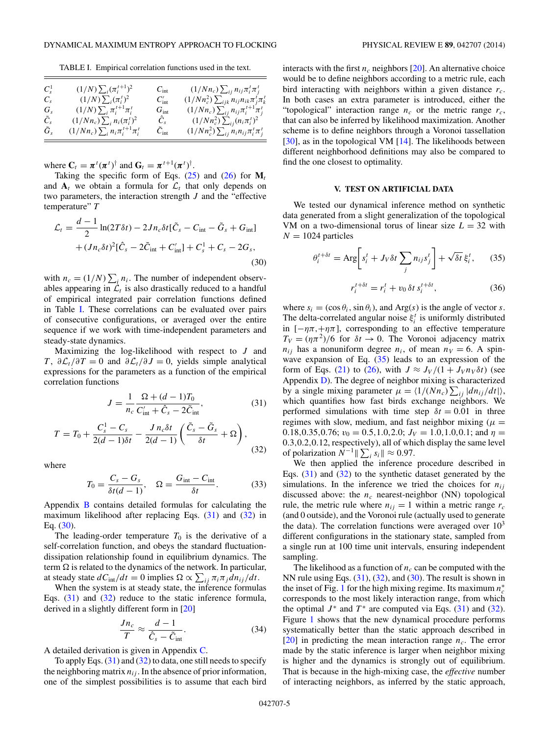<span id="page-4-0"></span>TABLE I. Empirical correlation functions used in the text.

| $C_{s}^{1}$<br>$C_{s}$ | $(1/N)\sum_i(\pi_i^{t+1})^2$<br>$(1/N)\sum_i(\pi_i^t)^2$ | $C_{\rm int}$<br>$C'_{\rm int}$ | $(1/Nn_c)\sum_{ii} n_{ij}\pi_i^t\pi_j^t$<br>$(1/Nn_c^2)\sum_{ijk} n_{ij}n_{ik}\pi_j^t\pi_k^t$ |
|------------------------|----------------------------------------------------------|---------------------------------|-----------------------------------------------------------------------------------------------|
| $G_s$                  | $(1/N)\sum_i \pi_i^{t+1}\pi_i^t$                         | $G_{\rm int}$                   | $(1/Nn_c)\sum_{ij} n_{ij}\pi_i^{t+1}\pi_j^t$                                                  |
| $\tilde{C}_s$          | $(1/Nn_c)\sum_i n_i(\pi_i^t)^2$                          | $\hat{C}_s$                     | $(1/Nn_c^2)\sum_{ii}(n_i\pi_i^t)^2$                                                           |
| $\tilde{G}_s$          | $(1/Nn_c)\sum_i n_i\pi_i^{t+1}\pi_i^t$                   | $C_{\rm int}$                   | $(1/Nn_c^2)\sum_{ij} n_i n_{ij} \pi_i^t \pi_j^t$                                              |

where  $\mathbf{C}_t = \boldsymbol{\pi}^t(\boldsymbol{\pi}^t)^{\dagger}$  and  $\mathbf{G}_t = \boldsymbol{\pi}^{t+1}(\boldsymbol{\pi}^t)^{\dagger}$ .

Taking the specific form of Eqs.  $(25)$  and  $(26)$  for  $M_t$ and  $A_t$  we obtain a formula for  $\mathcal{L}_t$  that only depends on two parameters, the interaction strength *J* and the "effective temperature" *T*

$$
\mathcal{L}_t = \frac{d-1}{2} \ln(2T\delta t) - 2Jn_c \delta t [\tilde{C}_s - C_{\text{int}} - \tilde{G}_s + G_{\text{int}}]
$$

$$
+ (Jn_c \delta t)^2 [\hat{C}_s - 2\tilde{C}_{\text{int}} + C'_{\text{int}}] + C_s^1 + C_s - 2G_s,
$$
(30)

with  $n_c = (1/N) \sum_i n_i$ . The number of independent observables appearing in  $\mathcal{L}_t$  is also drastically reduced to a handful of empirical integrated pair correlation functions defined in Table I. These correlations can be evaluated over pairs of consecutive configurations, or averaged over the entire sequence if we work with time-independent parameters and steady-state dynamics.

Maximizing the log-likelihood with respect to *J* and *T*,  $\partial \mathcal{L}_t / \partial T = 0$  and  $\partial \mathcal{L}_t / \partial J = 0$ , yields simple analytical expressions for the parameters as a function of the empirical correlation functions

$$
J = \frac{1}{n_c} \frac{\Omega + (d - 1)T_0}{C'_{\text{int}} + \hat{C}_s - 2\tilde{C}_{\text{int}}},\tag{31}
$$

$$
T = T_0 + \frac{C_s^1 - C_s}{2(d-1)\delta t} - \frac{J n_c \delta t}{2(d-1)} \left( \frac{\tilde{C}_s - \tilde{G}_s}{\delta t} + \Omega \right),\tag{32}
$$

where

$$
T_0 = \frac{C_s - G_s}{\delta t (d - 1)}, \quad \Omega = \frac{G_{\text{int}} - C_{\text{int}}}{\delta t}.
$$
 (33)

Appendix [B](#page-7-0) contains detailed formulas for calculating the maximum likelihood after replacing Eqs.  $(31)$  and  $(32)$  in Eq.  $(30)$ .

The leading-order temperature  $T_0$  is the derivative of a self-correlation function, and obeys the standard fluctuationdissipation relationship found in equilibrium dynamics. The term  $\Omega$  is related to the dynamics of the network. In particular, at steady state  $dC_{int}/dt = 0$  implies  $\Omega \propto \sum_{ij} \pi_i \pi_j dn_{ij}/dt$ .

When the system is at steady state, the inference formulas Eqs.  $(31)$  and  $(32)$  reduce to the static inference formula, derived in a slightly different form in [\[20\]](#page-8-0)

$$
\frac{Jn_c}{T} \approx \frac{d-1}{\hat{C}_s - \tilde{C}_{\text{int}}}.\tag{34}
$$

A detailed derivation is given in Appendix [C.](#page-7-0)

To apply Eqs.  $(31)$  and  $(32)$  to data, one still needs to specify the neighboring matrix  $n_{ij}$ . In the absence of prior information, one of the simplest possibilities is to assume that each bird interacts with the first  $n_c$  neighbors [\[20\]](#page-8-0). An alternative choice would be to define neighbors according to a metric rule, each bird interacting with neighbors within a given distance *rc*. In both cases an extra parameter is introduced, either the "topological" interaction range  $n_c$  or the metric range  $r_c$ , that can also be inferred by likelihood maximization. Another scheme is to define neighbors through a Voronoi tassellation [\[30\]](#page-8-0), as in the topological VM [\[14\]](#page-8-0). The likelihoods between different neighborhood definitions may also be compared to find the one closest to optimality.

### **V. TEST ON ARTIFICIAL DATA**

We tested our dynamical inference method on synthetic data generated from a slight generalization of the topological VM on a two-dimensional torus of linear size  $L = 32$  with  $N = 1024$  particles

$$
\theta_i^{t+\delta t} = \text{Arg}\bigg[s_i^t + J_V \delta t \sum_j n_{ij} s_j^t \bigg] + \sqrt{\delta t} \,\xi_i^t,\qquad(35)
$$

$$
r_i^{t+\delta t} = r_i^t + v_0 \,\delta t \, s_i^{t+\delta t},\tag{36}
$$

where  $s_i = (\cos \theta_i, \sin \theta_i)$ , and Arg(*s*) is the angle of vector *s*. The delta-correlated angular noise  $\xi_i^t$  is uniformly distributed in  $[-\eta \pi, +\eta \pi]$ , corresponding to an effective temperature  $T_V = (\eta \pi^2)/6$  for  $\delta t \to 0$ . The Voronoi adjacency matrix  $n_{ij}$  has a nonuniform degree  $n_i$ , of mean  $n_V = 6$ . A spinwave expansion of Eq.  $(35)$  leads to an expression of the form of Eqs. [\(21\)](#page-3-0) to [\(26\)](#page-3-0), with  $J \approx J_V/(1 + J_V n_V \delta t)$  (see Appendix [D\)](#page-7-0). The degree of neighbor mixing is characterized by a single mixing parameter  $\mu = \langle 1/(Nn_c) \sum_{ij} |dn_{ij}/dt| \rangle$ , which quantifies how fast birds exchange neighbors. We performed simulations with time step  $\delta t = 0.01$  in three regimes with slow, medium, and fast neighbor mixing ( $\mu$  = 0.18*,*0*.*35*,0.76;*  $v_0 = 0.5$ *,*1*.0,2.0;*  $J_V = 1.0$ *,*1*.0,0.1;* and  $\eta =$ 0*.*3*,*0*.*2*,*0*.*12, respectively), all of which display the same level of polarization  $\overline{N}^{-1}$   $\|\sum_i s_i\| \approx 0.97$ .

We then applied the inference procedure described in Eqs. (31) and (32) to the synthetic dataset generated by the simulations. In the inference we tried the choices for  $n_{ij}$ discussed above: the  $n_c$  nearest-neighbor (NN) topological rule, the metric rule where  $n_{ij} = 1$  within a metric range  $r_c$ (and 0 outside), and the Voronoi rule (actually used to generate the data). The correlation functions were averaged over  $10<sup>3</sup>$ different configurations in the stationary state, sampled from a single run at 100 time unit intervals, ensuring independent sampling.

The likelihood as a function of  $n_c$  can be computed with the NN rule using Eqs. (31), (32), and (30). The result is shown in the inset of Fig. [1](#page-5-0) for the high mixing regime. Its maximum  $n_c^*$ corresponds to the most likely interaction range, from which the optimal  $J^*$  and  $T^*$  are computed via Eqs. (31) and (32). Figure [1](#page-5-0) shows that the new dynamical procedure performs systematically better than the static approach described in  $[20]$  in predicting the mean interaction range  $n_c$ . The error made by the static inference is larger when neighbor mixing is higher and the dynamics is strongly out of equilibrium. That is because in the high-mixing case, the *effective* number of interacting neighbors, as inferred by the static approach,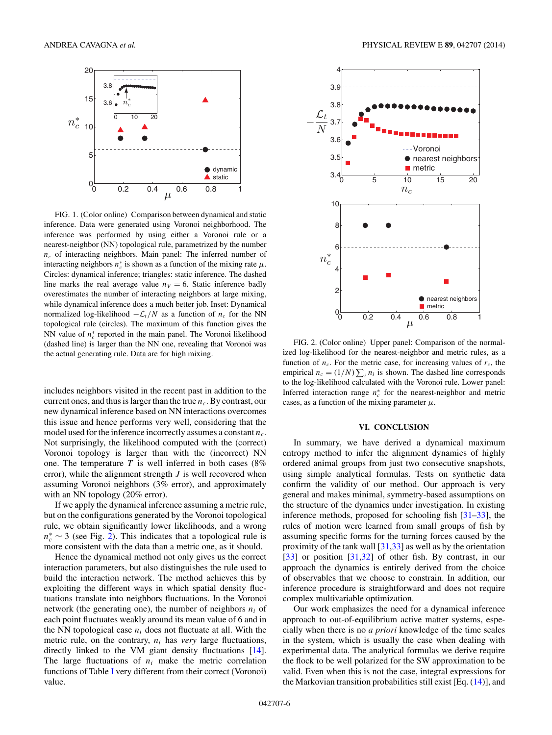<span id="page-5-0"></span>

FIG. 1. (Color online) Comparison between dynamical and static inference. Data were generated using Voronoi neighborhood. The inference was performed by using either a Voronoi rule or a nearest-neighbor (NN) topological rule, parametrized by the number  $n_c$  of interacting neighbors. Main panel: The inferred number of interacting neighbors  $n_c^*$  is shown as a function of the mixing rate  $\mu$ . Circles: dynamical inference; triangles: static inference. The dashed line marks the real average value  $n_V = 6$ . Static inference badly overestimates the number of interacting neighbors at large mixing, while dynamical inference does a much better job. Inset: Dynamical normalized log-likelihood  $-\mathcal{L}_t/N$  as a function of  $n_c$  for the NN topological rule (circles). The maximum of this function gives the NN value of  $n_c^*$  reported in the main panel. The Voronoi likelihood (dashed line) is larger than the NN one, revealing that Voronoi was the actual generating rule. Data are for high mixing.

includes neighbors visited in the recent past in addition to the current ones, and thus is larger than the true  $n_c$ . By contrast, our new dynamical inference based on NN interactions overcomes this issue and hence performs very well, considering that the model used for the inference incorrectly assumes a constant *nc*. Not surprisingly, the likelihood computed with the (correct) Voronoi topology is larger than with the (incorrect) NN one. The temperature  $T$  is well inferred in both cases ( $8\%$ ) error), while the alignment strength *J* is well recovered when assuming Voronoi neighbors (3% error), and approximately with an NN topology (20% error).

If we apply the dynamical inference assuming a metric rule, but on the configurations generated by the Voronoi topological rule, we obtain significantly lower likelihoods, and a wrong  $n_c^* \sim 3$  (see Fig. 2). This indicates that a topological rule is more consistent with the data than a metric one, as it should.

Hence the dynamical method not only gives us the correct interaction parameters, but also distinguishes the rule used to build the interaction network. The method achieves this by exploiting the different ways in which spatial density fluctuations translate into neighbors fluctuations. In the Voronoi network (the generating one), the number of neighbors *ni* of each point fluctuates weakly around its mean value of 6 and in the NN topological case  $n_i$  does not fluctuate at all. With the metric rule, on the contrary,  $n_i$  has *very* large fluctuations, directly linked to the VM giant density fluctuations [\[14\]](#page-8-0). The large fluctuations of  $n_i$  make the metric correlation functions of Table [I](#page-4-0) very different from their correct (Voronoi) value.



FIG. 2. (Color online) Upper panel: Comparison of the normalized log-likelihood for the nearest-neighbor and metric rules, as a function of  $n_c$ . For the metric case, for increasing values of  $r_c$ , the empirical  $n_c = (1/N) \sum_i n_i$  is shown. The dashed line corresponds to the log-likelihood calculated with the Voronoi rule. Lower panel: Inferred interaction range  $n_c^*$  for the nearest-neighbor and metric cases, as a function of the mixing parameter  $\mu$ .

## **VI. CONCLUSION**

In summary, we have derived a dynamical maximum entropy method to infer the alignment dynamics of highly ordered animal groups from just two consecutive snapshots, using simple analytical formulas. Tests on synthetic data confirm the validity of our method. Our approach is very general and makes minimal, symmetry-based assumptions on the structure of the dynamics under investigation. In existing inference methods, proposed for schooling fish [\[31–33\]](#page-8-0), the rules of motion were learned from small groups of fish by assuming specific forms for the turning forces caused by the proximity of the tank wall [\[31,33\]](#page-8-0) as well as by the orientation [\[33\]](#page-8-0) or position [\[31,32\]](#page-8-0) of other fish. By contrast, in our approach the dynamics is entirely derived from the choice of observables that we choose to constrain. In addition, our inference procedure is straightforward and does not require complex multivariable optimization.

Our work emphasizes the need for a dynamical inference approach to out-of-equilibrium active matter systems, especially when there is no *a priori* knowledge of the time scales in the system, which is usually the case when dealing with experimental data. The analytical formulas we derive require the flock to be well polarized for the SW approximation to be valid. Even when this is not the case, integral expressions for the Markovian transition probabilities still exist  $[Eq. (14)]$  $[Eq. (14)]$  $[Eq. (14)]$ , and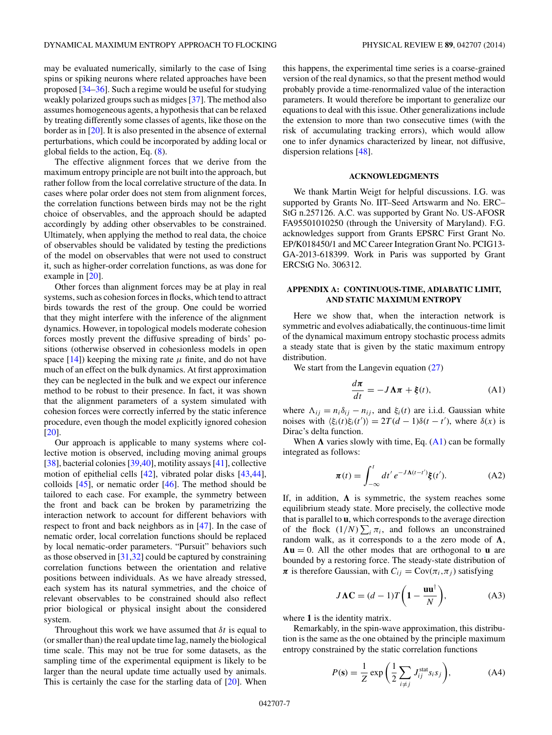<span id="page-6-0"></span>may be evaluated numerically, similarly to the case of Ising spins or spiking neurons where related approaches have been proposed [\[34–36\]](#page-8-0). Such a regime would be useful for studying weakly polarized groups such as midges [\[37\]](#page-8-0). The method also assumes homogeneous agents, a hypothesis that can be relaxed by treating differently some classes of agents, like those on the border as in [\[20\]](#page-8-0). It is also presented in the absence of external perturbations, which could be incorporated by adding local or global fields to the action, Eq. [\(8\)](#page-2-0).

The effective alignment forces that we derive from the maximum entropy principle are not built into the approach, but rather follow from the local correlative structure of the data. In cases where polar order does not stem from alignment forces, the correlation functions between birds may not be the right choice of observables, and the approach should be adapted accordingly by adding other observables to be constrained. Ultimately, when applying the method to real data, the choice of observables should be validated by testing the predictions of the model on observables that were not used to construct it, such as higher-order correlation functions, as was done for example in [\[20\]](#page-8-0).

Other forces than alignment forces may be at play in real systems, such as cohesion forces in flocks, which tend to attract birds towards the rest of the group. One could be worried that they might interfere with the inference of the alignment dynamics. However, in topological models moderate cohesion forces mostly prevent the diffusive spreading of birds' positions (otherwise observed in cohesionless models in open space  $[14]$ ) keeping the mixing rate  $\mu$  finite, and do not have much of an effect on the bulk dynamics. At first approximation they can be neglected in the bulk and we expect our inference method to be robust to their presence. In fact, it was shown that the alignment parameters of a system simulated with cohesion forces were correctly inferred by the static inference procedure, even though the model explicitly ignored cohesion [\[20\]](#page-8-0).

Our approach is applicable to many systems where collective motion is observed, including moving animal groups [\[38\]](#page-8-0), bacterial colonies [\[39,40\]](#page-8-0), motility assays [\[41\]](#page-8-0), collective motion of epithelial cells [\[42\]](#page-8-0), vibrated polar disks [\[43,44\]](#page-9-0), colloids  $[45]$ , or nematic order  $[46]$ . The method should be tailored to each case. For example, the symmetry between the front and back can be broken by parametrizing the interaction network to account for different behaviors with respect to front and back neighbors as in [\[47\]](#page-9-0). In the case of nematic order, local correlation functions should be replaced by local nematic-order parameters. "Pursuit" behaviors such as those observed in  $[31,32]$  could be captured by constraining correlation functions between the orientation and relative positions between individuals. As we have already stressed, each system has its natural symmetries, and the choice of relevant observables to be constrained should also reflect prior biological or physical insight about the considered system.

Throughout this work we have assumed that *δt* is equal to (or smaller than) the real update time lag, namely the biological time scale. This may not be true for some datasets, as the sampling time of the experimental equipment is likely to be larger than the neural update time actually used by animals. This is certainly the case for the starling data of [\[20\]](#page-8-0). When

this happens, the experimental time series is a coarse-grained version of the real dynamics, so that the present method would probably provide a time-renormalized value of the interaction parameters. It would therefore be important to generalize our equations to deal with this issue. Other generalizations include the extension to more than two consecutive times (with the risk of accumulating tracking errors), which would allow one to infer dynamics characterized by linear, not diffusive, dispersion relations [\[48\]](#page-9-0).

### **ACKNOWLEDGMENTS**

We thank Martin Weigt for helpful discussions. I.G. was supported by Grants No. IIT–Seed Artswarm and No. ERC– StG n.257126. A.C. was supported by Grant No. US-AFOSR FA95501010250 (through the University of Maryland). F.G. acknowledges support from Grants EPSRC First Grant No. EP/K018450/1 and MC Career Integration Grant No. PCIG13- GA-2013-618399. Work in Paris was supported by Grant ERCStG No. 306312.

## **APPENDIX A: CONTINUOUS-TIME, ADIABATIC LIMIT, AND STATIC MAXIMUM ENTROPY**

Here we show that, when the interaction network is symmetric and evolves adiabatically, the continuous-time limit of the dynamical maximum entropy stochastic process admits a steady state that is given by the static maximum entropy distribution.

We start from the Langevin equation  $(27)$ 

$$
\frac{d\pi}{dt} = -J\Lambda\pi + \xi(t),\tag{A1}
$$

where  $\Lambda_{ij} = n_i \delta_{ij} - n_{ij}$ , and  $\xi_i(t)$  are i.i.d. Gaussian white noises with  $\langle \xi_i(t) \xi_i(t') \rangle = 2T(d-1)\delta(t-t')$ , where  $\delta(x)$  is Dirac's delta function.

When  $\Lambda$  varies slowly with time, Eq. (A1) can be formally integrated as follows:

$$
\pi(t) = \int_{-\infty}^{t} dt' e^{-J\Lambda(t-t')} \xi(t'). \tag{A2}
$$

If, in addition,  $\Lambda$  is symmetric, the system reaches some equilibrium steady state. More precisely, the collective mode that is parallel to **u**, which corresponds to the average direction of the flock  $(1/N)\sum_i \pi_i$ , and follows an unconstrained random walk, as it corresponds to a the zero mode of  $\Lambda$ ,  $\Lambda$ **u** = 0. All the other modes that are orthogonal to **u** are bounded by a restoring force. The steady-state distribution of  $\pi$  is therefore Gaussian, with  $C_{ij} = \text{Cov}(\pi_i, \pi_j)$  satisfying

$$
J\Lambda \mathbf{C} = (d-1)T\bigg(1 - \frac{\mathbf{u}\mathbf{u}^\dagger}{N}\bigg),\tag{A3}
$$

where **1** is the identity matrix.

Remarkably, in the spin-wave approximation, this distribution is the same as the one obtained by the principle maximum entropy constrained by the static correlation functions

$$
P(\mathbf{s}) = \frac{1}{Z} \exp\left(\frac{1}{2} \sum_{i \neq j} J_{ij}^{\text{stat}} s_i s_j\right),\tag{A4}
$$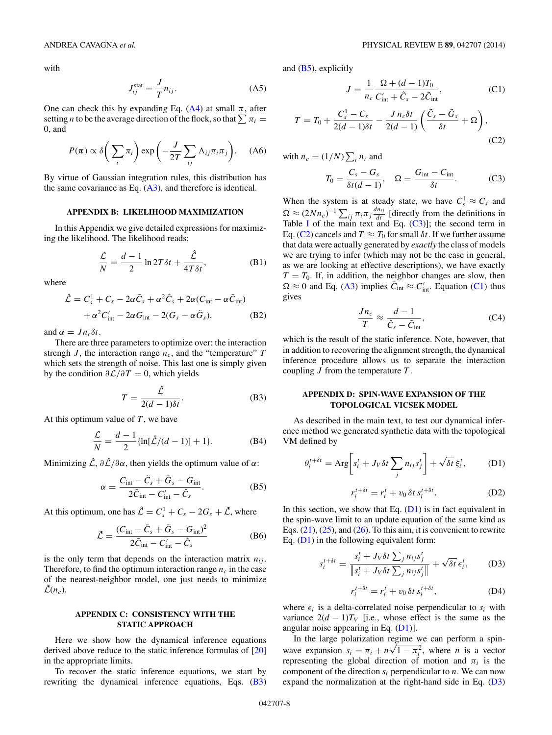<span id="page-7-0"></span>with

$$
J_{ij}^{\text{stat}} = \frac{J}{T} n_{ij}.
$$
 (A5)

One can check this by expanding Eq.  $(A4)$  at small  $\pi$ , after setting *n* to be the average direction of the flock, so that  $\sum \pi_i$  = 0, and

$$
P(\pi) \propto \delta\bigg(\sum_{i} \pi_{i}\bigg) \exp\bigg(-\frac{J}{2T} \sum_{ij} \Lambda_{ij} \pi_{i} \pi_{j}\bigg). \quad (A6)
$$

By virtue of Gaussian integration rules, this distribution has the same covariance as Eq.  $(A3)$ , and therefore is identical.

### **APPENDIX B: LIKELIHOOD MAXIMIZATION**

In this Appendix we give detailed expressions for maximizing the likelihood. The likelihood reads:

$$
\frac{\mathcal{L}}{N} = \frac{d-1}{2} \ln 2T \delta t + \frac{\hat{\mathcal{L}}}{4T \delta t},
$$
 (B1)

where

$$
\hat{\mathcal{L}} = C_s^1 + C_s - 2\alpha \tilde{C}_s + \alpha^2 \hat{C}_s + 2\alpha (C_{\text{int}} - \alpha \tilde{C}_{\text{int}}) \n+ \alpha^2 C_{\text{int}}' - 2\alpha G_{\text{int}} - 2(G_s - \alpha \tilde{G}_s),
$$
\n(B2)

and  $\alpha = J n_c \delta t$ .

There are three parameters to optimize over: the interaction strengh  $J$ , the interaction range  $n_c$ , and the "temperature"  $T$ which sets the strength of noise. This last one is simply given by the condition *∂*L*/∂T* = 0, which yields

$$
T = \frac{\hat{\mathcal{L}}}{2(d-1)\delta t}.
$$
 (B3)

At this optimum value of *T* , we have

$$
\frac{\mathcal{L}}{N} = \frac{d-1}{2} \{ \ln[\hat{\mathcal{L}}/(d-1)] + 1 \}.
$$
 (B4)

Minimizing  $\hat{\mathcal{L}}$ ,  $\partial \hat{\mathcal{L}}/\partial \alpha$ , then yields the optimum value of  $\alpha$ :

$$
\alpha = \frac{C_{\text{int}} - \tilde{C}_s + \tilde{G}_s - G_{\text{int}}}{2\tilde{C}_{\text{int}} - C_{\text{int}}' - \hat{C}_s}.
$$
 (B5)

At this optimum, one has  $\hat{\mathcal{L}} = C_s^1 + C_s - 2G_s + \tilde{\mathcal{L}}$ , where

$$
\tilde{\mathcal{L}} = \frac{(C_{\text{int}} - \tilde{C}_s + \tilde{G}_s - G_{\text{int}})^2}{2\tilde{C}_{\text{int}} - C_{\text{int}}' - \hat{C}_s}
$$
(B6)

is the only term that depends on the interaction matrix  $n_{ij}$ . Therefore, to find the optimum interaction range  $n_c$  in the case of the nearest-neighbor model, one just needs to minimize  $\mathcal{L}(n_c)$ .

### **APPENDIX C: CONSISTENCY WITH THE STATIC APPROACH**

Here we show how the dynamical inference equations derived above reduce to the static inference formulas of [\[20\]](#page-8-0) in the appropriate limits.

To recover the static inference equations, we start by rewriting the dynamical inference equations, Eqs. (B3) and (B5), explicitly

$$
J = \frac{1}{n_c} \frac{\Omega + (d-1)T_0}{C'_{\text{int}} + \hat{C}_s - 2\tilde{C}_{\text{int}}},\tag{C1}
$$

$$
T = T_0 + \frac{C_s^1 - C_s}{2(d-1)\delta t} - \frac{J n_c \delta t}{2(d-1)} \left( \frac{\tilde{C}_s - \tilde{G}_s}{\delta t} + \Omega \right),\tag{C2}
$$

with 
$$
n_c = (1/N) \sum_i n_i
$$
 and  

$$
C_c - G_c
$$

$$
T_0 = \frac{C_s - G_s}{\delta t (d - 1)}, \quad \Omega = \frac{G_{\text{int}} - C_{\text{int}}}{\delta t}.
$$
 (C3)

When the system is at steady state, we have  $C_s^1 \approx C_s$  and  $\Omega \approx (2Nn_c)^{-1} \sum_{ij} \pi_i \pi_j \frac{dn_{ij}}{dt}$  [directly from the definitions in Table [I](#page-4-0) of the main text and Eq.  $(C3)$ ]; the second term in Eq. (C2) cancels and  $T \approx T_0$  for small  $\delta t$ . If we further assume that data were actually generated by *exactly* the class of models we are trying to infer (which may not be the case in general, as we are looking at effective descriptions), we have exactly  $T = T_0$ . If, in addition, the neighbor changes are slow, then  $\Omega \approx 0$  and Eq. [\(A3\)](#page-6-0) implies  $\tilde{C}_{int} \approx C'_{int}$ . Equation (C1) thus gives

$$
\frac{Jn_c}{T} \approx \frac{d-1}{\hat{C}_s - \tilde{C}_{\text{int}}},\tag{C4}
$$

which is the result of the static inference. Note, however, that in addition to recovering the alignment strength, the dynamical inference procedure allows us to separate the interaction coupling *J* from the temperature *T* .

## **APPENDIX D: SPIN-WAVE EXPANSION OF THE TOPOLOGICAL VICSEK MODEL**

As described in the main text, to test our dynamical inference method we generated synthetic data with the topological VM defined by

$$
\theta_i^{t+\delta t} = \text{Arg}\bigg[s_i^t + J_V \delta t \sum_j n_{ij} s_j^t \bigg] + \sqrt{\delta t} \,\xi_i^t,\tag{D1}
$$

$$
r_i^{t+\delta t} = r_i^t + v_0 \,\delta t \, s_i^{t+\delta t}.\tag{D2}
$$

In this section, we show that Eq.  $(D1)$  is in fact equivalent in the spin-wave limit to an update equation of the same kind as Eqs.  $(21)$ ,  $(25)$ , and  $(26)$ . To this aim, it is convenient to rewrite Eq.  $(D1)$  in the following equivalent form:

$$
s_i^{t+\delta t} = \frac{s_i^t + J_V \delta t \sum_j n_{ij} s_j^t}{\|s_i^t + J_V \delta t \sum_j n_{ij} s_j^t\|} + \sqrt{\delta t} \epsilon_i^t,
$$
 (D3)

$$
r_i^{t+\delta t} = r_i^t + v_0 \, \delta t \, s_i^{t+\delta t}, \tag{D4}
$$

where  $\epsilon_i$  is a delta-correlated noise perpendicular to  $s_i$  with variance  $2(d - 1)T_V$  [i.e., whose effect is the same as the angular noise appearing in Eq.  $(D1)$ ].

In the large polarization regime we can perform a spinwave expansion  $s_i = \pi_i + n\sqrt{1 - \pi_i^2}$ , where *n* is a vector representing the global direction of motion and  $\pi_i$  is the component of the direction  $s_i$  perpendicular to  $n$ . We can now expand the normalization at the right-hand side in Eq.  $(D3)$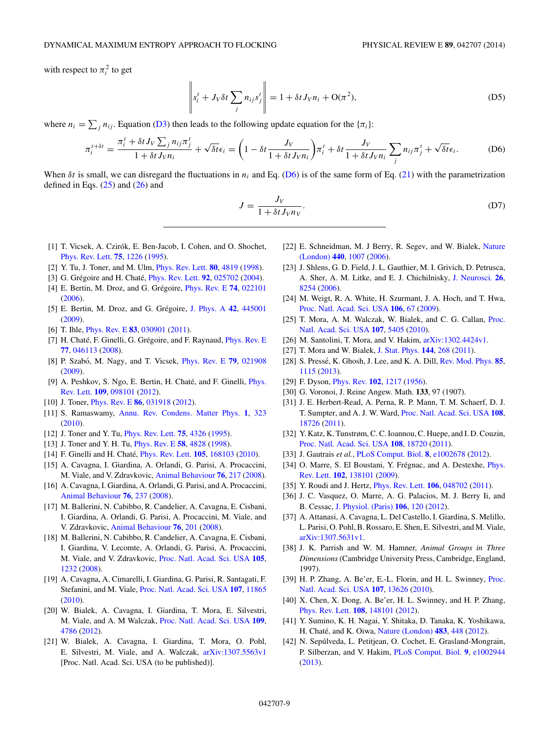<span id="page-8-0"></span>with respect to  $\pi_i^2$  to get

$$
\left\|s_i^t + J_V \delta t \sum_j n_{ij} s_j^t \right\| = 1 + \delta t J_V n_i + \mathcal{O}(\pi^2), \tag{D5}
$$

where  $n_i = \sum_j n_{ij}$ . Equation [\(D3\)](#page-7-0) then leads to the following update equation for the  $\{\pi_i\}$ :

$$
\pi_i^{t+\delta t} = \frac{\pi_i^t + \delta t J_V \sum_j n_{ij} \pi_j^t}{1 + \delta t J_V n_i} + \sqrt{\delta t} \epsilon_i = \left(1 - \delta t \frac{J_V}{1 + \delta t J_V n_i}\right) \pi_i^t + \delta t \frac{J_V}{1 + \delta t J_V n_i} \sum_j n_{ij} \pi_j^t + \sqrt{\delta t} \epsilon_i.
$$
 (D6)

When  $\delta t$  is small, we can disregard the fluctuations in  $n_i$  and Eq. (D6) is of the same form of Eq. [\(21\)](#page-3-0) with the parametrization defined in Eqs.  $(25)$  and  $(26)$  and

$$
J = \frac{J_V}{1 + \delta t J_V n_V}.
$$
 (D7)

- [1] T. Vicsek, A. Czirók, E. Ben-Jacob, I. Cohen, and O. Shochet, [Phys. Rev. Lett.](http://dx.doi.org/10.1103/PhysRevLett.75.1226) **[75](http://dx.doi.org/10.1103/PhysRevLett.75.1226)**, [1226](http://dx.doi.org/10.1103/PhysRevLett.75.1226) [\(1995\)](http://dx.doi.org/10.1103/PhysRevLett.75.1226).
- [2] Y. Tu, J. Toner, and M. Ulm, [Phys. Rev. Lett.](http://dx.doi.org/10.1103/PhysRevLett.80.4819) **[80](http://dx.doi.org/10.1103/PhysRevLett.80.4819)**, [4819](http://dx.doi.org/10.1103/PhysRevLett.80.4819) [\(1998\)](http://dx.doi.org/10.1103/PhysRevLett.80.4819).
- [3] G. Grégoire and H. Chaté, *[Phys. Rev. Lett.](http://dx.doi.org/10.1103/PhysRevLett.92.025702)* **[92](http://dx.doi.org/10.1103/PhysRevLett.92.025702)**, [025702](http://dx.doi.org/10.1103/PhysRevLett.92.025702) [\(2004\)](http://dx.doi.org/10.1103/PhysRevLett.92.025702).
- [4] E. Bertin, M. Droz, and G. Grégoire, *[Phys. Rev. E](http://dx.doi.org/10.1103/PhysRevE.74.022101)* **[74](http://dx.doi.org/10.1103/PhysRevE.74.022101)**, [022101](http://dx.doi.org/10.1103/PhysRevE.74.022101) [\(2006\)](http://dx.doi.org/10.1103/PhysRevE.74.022101).
- [5] E. Bertin, M. Droz, and G. Grégoire, [J. Phys. A](http://dx.doi.org/10.1088/1751-8113/42/44/445001) [42](http://dx.doi.org/10.1088/1751-8113/42/44/445001), [445001](http://dx.doi.org/10.1088/1751-8113/42/44/445001) [\(2009\)](http://dx.doi.org/10.1088/1751-8113/42/44/445001).
- [6] T. Ihle, [Phys. Rev. E](http://dx.doi.org/10.1103/PhysRevE.83.030901) **[83](http://dx.doi.org/10.1103/PhysRevE.83.030901)**, [030901](http://dx.doi.org/10.1103/PhysRevE.83.030901) [\(2011\)](http://dx.doi.org/10.1103/PhysRevE.83.030901).
- [7] H. Chaté, F. Ginelli, G. Grégoire, and F. Raynaud, *[Phys. Rev. E](http://dx.doi.org/10.1103/PhysRevE.77.046113)* **[77](http://dx.doi.org/10.1103/PhysRevE.77.046113)**, [046113](http://dx.doi.org/10.1103/PhysRevE.77.046113) [\(2008\)](http://dx.doi.org/10.1103/PhysRevE.77.046113).
- [8] P. Szabó, M. Nagy, and T. Vicsek, *[Phys. Rev. E](http://dx.doi.org/10.1103/PhysRevE.79.021908)* **[79](http://dx.doi.org/10.1103/PhysRevE.79.021908)**, [021908](http://dx.doi.org/10.1103/PhysRevE.79.021908) [\(2009\)](http://dx.doi.org/10.1103/PhysRevE.79.021908).
- [9] A. Peshkov, S. Ngo, E. Bertin, H. Chaté, and F. Ginelli, *Phys.* Rev. Lett. **[109](http://dx.doi.org/10.1103/PhysRevLett.109.098101)**, [098101](http://dx.doi.org/10.1103/PhysRevLett.109.098101) [\(2012\)](http://dx.doi.org/10.1103/PhysRevLett.109.098101).
- [10] J. Toner, [Phys. Rev. E](http://dx.doi.org/10.1103/PhysRevE.86.031918) **[86](http://dx.doi.org/10.1103/PhysRevE.86.031918)**, [031918](http://dx.doi.org/10.1103/PhysRevE.86.031918) [\(2012\)](http://dx.doi.org/10.1103/PhysRevE.86.031918).
- [11] S. Ramaswamy, [Annu. Rev. Condens. Matter Phys.](http://dx.doi.org/10.1146/annurev-conmatphys-070909-104101) **[1](http://dx.doi.org/10.1146/annurev-conmatphys-070909-104101)**, [323](http://dx.doi.org/10.1146/annurev-conmatphys-070909-104101) [\(2010\)](http://dx.doi.org/10.1146/annurev-conmatphys-070909-104101).
- [12] J. Toner and Y. Tu, [Phys. Rev. Lett.](http://dx.doi.org/10.1103/PhysRevLett.75.4326) **[75](http://dx.doi.org/10.1103/PhysRevLett.75.4326)**, [4326](http://dx.doi.org/10.1103/PhysRevLett.75.4326) [\(1995\)](http://dx.doi.org/10.1103/PhysRevLett.75.4326).
- [13] J. Toner and Y. H. Tu, [Phys. Rev. E](http://dx.doi.org/10.1103/PhysRevE.58.4828) **[58](http://dx.doi.org/10.1103/PhysRevE.58.4828)**, [4828](http://dx.doi.org/10.1103/PhysRevE.58.4828) [\(1998\)](http://dx.doi.org/10.1103/PhysRevE.58.4828).
- [14] F. Ginelli and H. Chate,´ [Phys. Rev. Lett.](http://dx.doi.org/10.1103/PhysRevLett.105.168103) **[105](http://dx.doi.org/10.1103/PhysRevLett.105.168103)**, [168103](http://dx.doi.org/10.1103/PhysRevLett.105.168103) [\(2010\)](http://dx.doi.org/10.1103/PhysRevLett.105.168103).
- [15] A. Cavagna, I. Giardina, A. Orlandi, G. Parisi, A. Procaccini, M. Viale, and V. Zdravkovic, [Animal Behaviour](http://dx.doi.org/10.1016/j.anbehav.2008.02.002) **[76](http://dx.doi.org/10.1016/j.anbehav.2008.02.002)**, [217](http://dx.doi.org/10.1016/j.anbehav.2008.02.002) [\(2008\)](http://dx.doi.org/10.1016/j.anbehav.2008.02.002).
- [16] A. Cavagna, I. Giardina, A. Orlandi, G. Parisi, and A. Procaccini, [Animal Behaviour](http://dx.doi.org/10.1016/j.anbehav.2008.02.003) **[76](http://dx.doi.org/10.1016/j.anbehav.2008.02.003)**, [237](http://dx.doi.org/10.1016/j.anbehav.2008.02.003) [\(2008\)](http://dx.doi.org/10.1016/j.anbehav.2008.02.003).
- [17] M. Ballerini, N. Cabibbo, R. Candelier, A. Cavagna, E. Cisbani, I. Giardina, A. Orlandi, G. Parisi, A. Procaccini, M. Viale, and V. Zdravkovic, [Animal Behaviour](http://dx.doi.org/10.1016/j.anbehav.2008.02.004) **[76](http://dx.doi.org/10.1016/j.anbehav.2008.02.004)**, [201](http://dx.doi.org/10.1016/j.anbehav.2008.02.004) [\(2008\)](http://dx.doi.org/10.1016/j.anbehav.2008.02.004).
- [18] M. Ballerini, N. Cabibbo, R. Candelier, A. Cavagna, E. Cisbani, I. Giardina, V. Lecomte, A. Orlandi, G. Parisi, A. Procaccini, M. Viale, and V. Zdravkovic, [Proc. Natl. Acad. Sci. USA](http://dx.doi.org/10.1073/pnas.0711437105) **[105](http://dx.doi.org/10.1073/pnas.0711437105)**, [1232](http://dx.doi.org/10.1073/pnas.0711437105) [\(2008\)](http://dx.doi.org/10.1073/pnas.0711437105).
- [19] A. Cavagna, A. Cimarelli, I. Giardina, G. Parisi, R. Santagati, F. Stefanini, and M. Viale, [Proc. Natl. Acad. Sci. USA](http://dx.doi.org/10.1073/pnas.1005766107) **[107](http://dx.doi.org/10.1073/pnas.1005766107)**, [11865](http://dx.doi.org/10.1073/pnas.1005766107) [\(2010\)](http://dx.doi.org/10.1073/pnas.1005766107).
- [20] W. Bialek, A. Cavagna, I. Giardina, T. Mora, E. Silvestri, M. Viale, and A. M Walczak, [Proc. Natl. Acad. Sci. USA](http://dx.doi.org/10.1073/pnas.1118633109) **[109](http://dx.doi.org/10.1073/pnas.1118633109)**, [4786](http://dx.doi.org/10.1073/pnas.1118633109) [\(2012\)](http://dx.doi.org/10.1073/pnas.1118633109).
- [21] W. Bialek, A. Cavagna, I. Giardina, T. Mora, O. Pohl, E. Silvestri, M. Viale, and A. Walczak, [arXiv:1307.5563v1](http://arxiv.org/abs/arXiv:1307.5563v1) [Proc. Natl. Acad. Sci. USA (to be published)].
- [22] [E. Schneidman, M. J Berry, R. Segev, and W. Bialek,](http://dx.doi.org/10.1038/nature04701) Nature (London) **[440](http://dx.doi.org/10.1038/nature04701)**, [1007](http://dx.doi.org/10.1038/nature04701) [\(2006\)](http://dx.doi.org/10.1038/nature04701).
- [23] J. Shlens, G. D. Field, J. L. Gauthier, M. I. Grivich, D. Petrusca, A. Sher, A. M. Litke, and E. J. Chichilnisky, [J. Neurosci.](http://dx.doi.org/10.1523/JNEUROSCI.1282-06.2006) **[26](http://dx.doi.org/10.1523/JNEUROSCI.1282-06.2006)**, [8254](http://dx.doi.org/10.1523/JNEUROSCI.1282-06.2006) [\(2006\)](http://dx.doi.org/10.1523/JNEUROSCI.1282-06.2006).
- [24] M. Weigt, R. A. White, H. Szurmant, J. A. Hoch, and T. Hwa, [Proc. Natl. Acad. Sci. USA](http://dx.doi.org/10.1073/pnas.0805923106) **[106](http://dx.doi.org/10.1073/pnas.0805923106)**, [67](http://dx.doi.org/10.1073/pnas.0805923106) [\(2009\)](http://dx.doi.org/10.1073/pnas.0805923106).
- [25] [T. Mora, A. M. Walczak, W. Bialek, and C. G. Callan,](http://dx.doi.org/10.1073/pnas.1001705107) Proc. Natl. Acad. Sci. USA **[107](http://dx.doi.org/10.1073/pnas.1001705107)**, [5405](http://dx.doi.org/10.1073/pnas.1001705107) [\(2010\)](http://dx.doi.org/10.1073/pnas.1001705107).
- [26] M. Santolini, T. Mora, and V. Hakim,  $arXiv:1302.4424v1$ .
- [27] T. Mora and W. Bialek, [J. Stat. Phys.](http://dx.doi.org/10.1007/s10955-011-0229-4) **[144](http://dx.doi.org/10.1007/s10955-011-0229-4)**, [268](http://dx.doi.org/10.1007/s10955-011-0229-4) [\(2011\)](http://dx.doi.org/10.1007/s10955-011-0229-4).
- [28] S. Pressé, K. Ghosh, J. Lee, and K. A. Dill, *[Rev. Mod. Phys.](http://dx.doi.org/10.1103/RevModPhys.85.1115)* [85](http://dx.doi.org/10.1103/RevModPhys.85.1115), [1115](http://dx.doi.org/10.1103/RevModPhys.85.1115) [\(2013\)](http://dx.doi.org/10.1103/RevModPhys.85.1115).
- [29] F. Dyson, [Phys. Rev.](http://dx.doi.org/10.1103/PhysRev.102.1217) **[102](http://dx.doi.org/10.1103/PhysRev.102.1217)**, [1217](http://dx.doi.org/10.1103/PhysRev.102.1217) [\(1956\)](http://dx.doi.org/10.1103/PhysRev.102.1217).
- [30] G. Voronoi, J. Reine Angew. Math. **133**, 97 (1907).
- [31] J. E. Herbert-Read, A. Perna, R. P. Mann, T. M. Schaerf, D. J. T. Sumpter, and A. J. W. Ward, [Proc. Natl. Acad. Sci. USA](http://dx.doi.org/10.1073/pnas.1109355108) **[108](http://dx.doi.org/10.1073/pnas.1109355108)**, [18726](http://dx.doi.org/10.1073/pnas.1109355108) [\(2011\)](http://dx.doi.org/10.1073/pnas.1109355108).
- [32] Y. Katz, K. Tunstrøm, C. C. Ioannou, C. Huepe, and I. D. Couzin, [Proc. Natl. Acad. Sci. USA](http://dx.doi.org/10.1073/pnas.1107583108) **[108](http://dx.doi.org/10.1073/pnas.1107583108)**, [18720](http://dx.doi.org/10.1073/pnas.1107583108) [\(2011\)](http://dx.doi.org/10.1073/pnas.1107583108).
- [33] J. Gautrais *et al.*, [PLoS Comput. Biol.](http://dx.doi.org/10.1371/journal.pcbi.1002678) **[8](http://dx.doi.org/10.1371/journal.pcbi.1002678)**, [e1002678](http://dx.doi.org/10.1371/journal.pcbi.1002678) [\(2012\)](http://dx.doi.org/10.1371/journal.pcbi.1002678).
- [34] O. Marre, S. El Boustani, Y. Frégnac, and A. Destexhe, *Phys.* Rev. Lett. **[102](http://dx.doi.org/10.1103/PhysRevLett.102.138101)**, [138101](http://dx.doi.org/10.1103/PhysRevLett.102.138101) [\(2009\)](http://dx.doi.org/10.1103/PhysRevLett.102.138101).
- [35] Y. Roudi and J. Hertz, [Phys. Rev. Lett.](http://dx.doi.org/10.1103/PhysRevLett.106.048702) **[106](http://dx.doi.org/10.1103/PhysRevLett.106.048702)**, [048702](http://dx.doi.org/10.1103/PhysRevLett.106.048702) [\(2011\)](http://dx.doi.org/10.1103/PhysRevLett.106.048702).
- [36] J. C. Vasquez, O. Marre, A. G. Palacios, M. J. Berry Ii, and B. Cessac, [J. Physiol. \(Paris\)](http://dx.doi.org/10.1016/j.jphysparis.2011.11.001) **[106](http://dx.doi.org/10.1016/j.jphysparis.2011.11.001)**, [120](http://dx.doi.org/10.1016/j.jphysparis.2011.11.001) [\(2012\)](http://dx.doi.org/10.1016/j.jphysparis.2011.11.001).
- [37] A. Attanasi, A. Cavagna, L. Del Castello, I. Giardina, S. Melillo, L. Parisi, O. Pohl, B. Rossaro, E. Shen, E. Silvestri, and M. Viale, [arXiv:1307.5631v1.](http://arxiv.org/abs/arXiv:1307.5631v1)
- [38] J. K. Parrish and W. M. Hamner, *Animal Groups in Three Dimensions*(Cambridge University Press, Cambridge, England, 1997).
- [39] [H. P. Zhang, A. Be'er, E.-L. Florin, and H. L. Swinney,](http://dx.doi.org/10.1073/pnas.1001651107) Proc. Natl. Acad. Sci. USA **[107](http://dx.doi.org/10.1073/pnas.1001651107)**, [13626](http://dx.doi.org/10.1073/pnas.1001651107) [\(2010\)](http://dx.doi.org/10.1073/pnas.1001651107).
- [40] X. Chen, X. Dong, A. Be'er, H. L. Swinney, and H. P. Zhang, [Phys. Rev. Lett.](http://dx.doi.org/10.1103/PhysRevLett.108.148101) **[108](http://dx.doi.org/10.1103/PhysRevLett.108.148101)**, [148101](http://dx.doi.org/10.1103/PhysRevLett.108.148101) [\(2012\)](http://dx.doi.org/10.1103/PhysRevLett.108.148101).
- [41] Y. Sumino, K. H. Nagai, Y. Shitaka, D. Tanaka, K. Yoshikawa, H. Chaté, and K. Oiwa, [Nature \(London\)](http://dx.doi.org/10.1038/nature10874) **[483](http://dx.doi.org/10.1038/nature10874)**, [448](http://dx.doi.org/10.1038/nature10874) [\(2012\)](http://dx.doi.org/10.1038/nature10874).
- [42] N. Sepúlveda, L. Petitjean, O. Cochet, E. Grasland-Mongrain, P. Silberzan, and V. Hakim, [PLoS Comput. Biol.](http://dx.doi.org/10.1371/journal.pcbi.1002944) **[9](http://dx.doi.org/10.1371/journal.pcbi.1002944)**, [e1002944](http://dx.doi.org/10.1371/journal.pcbi.1002944) [\(2013\)](http://dx.doi.org/10.1371/journal.pcbi.1002944).